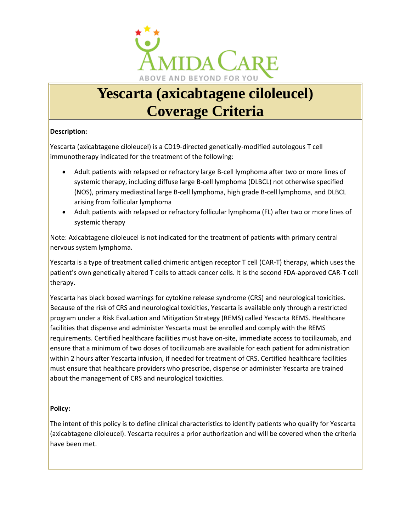

# **Yescarta (axicabtagene ciloleucel) Coverage Criteria**

## **Description:**

Yescarta (axicabtagene ciloleucel) is a CD19-directed genetically-modified autologous T cell immunotherapy indicated for the treatment of the following:

- Adult patients with relapsed or refractory large B-cell lymphoma after two or more lines of systemic therapy, including diffuse large B-cell lymphoma (DLBCL) not otherwise specified (NOS), primary mediastinal large B-cell lymphoma, high grade B-cell lymphoma, and DLBCL arising from follicular lymphoma
- Adult patients with relapsed or refractory follicular lymphoma (FL) after two or more lines of systemic therapy

Note: Axicabtagene ciloleucel is not indicated for the treatment of patients with primary central nervous system lymphoma.

Yescarta is a type of treatment called chimeric antigen receptor T cell (CAR-T) therapy, which uses the patient's own genetically altered T cells to attack cancer cells. It is the second FDA-approved CAR-T cell therapy.

Yescarta has black boxed warnings for cytokine release syndrome (CRS) and neurological toxicities. Because of the risk of CRS and neurological toxicities, Yescarta is available only through a restricted program under a Risk Evaluation and Mitigation Strategy (REMS) called Yescarta REMS. Healthcare facilities that dispense and administer Yescarta must be enrolled and comply with the REMS requirements. Certified healthcare facilities must have on-site, immediate access to tocilizumab, and ensure that a minimum of two doses of tocilizumab are available for each patient for administration within 2 hours after Yescarta infusion, if needed for treatment of CRS. Certified healthcare facilities must ensure that healthcare providers who prescribe, dispense or administer Yescarta are trained about the management of CRS and neurological toxicities.

## **Policy:**

The intent of this policy is to define clinical characteristics to identify patients who qualify for Yescarta (axicabtagene ciloleucel). Yescarta requires a prior authorization and will be covered when the criteria have been met.